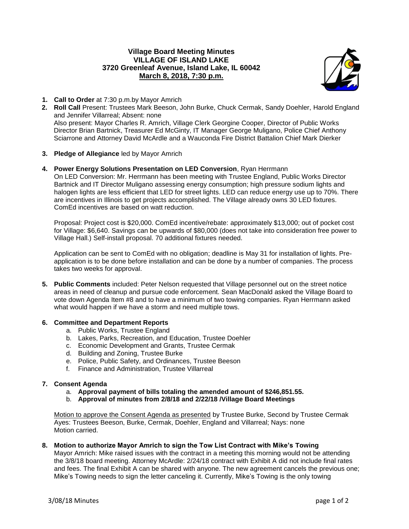## **Village Board Meeting Minutes VILLAGE OF ISLAND LAKE 3720 Greenleaf Avenue, Island Lake, IL 60042 March 8, 2018, 7:30 p.m.**



- **1. Call to Order** at 7:30 p.m.by Mayor Amrich
- **2. Roll Call** Present: Trustees Mark Beeson, John Burke, Chuck Cermak, Sandy Doehler, Harold England and Jennifer Villarreal; Absent: none Also present: Mayor Charles R. Amrich, Village Clerk Georgine Cooper, Director of Public Works Director Brian Bartnick, Treasurer Ed McGinty, IT Manager George Muligano, Police Chief Anthony Sciarrone and Attorney David McArdle and a Wauconda Fire District Battalion Chief Mark Dierker
- **3. Pledge of Allegiance** led by Mayor Amrich
- **4. Power Energy Solutions Presentation on LED Conversion**, Ryan Herrmann

On LED Conversion: Mr. Herrmann has been meeting with Trustee England, Public Works Director Bartnick and IT Director Muligano assessing energy consumption; high pressure sodium lights and halogen lights are less efficient that LED for street lights. LED can reduce energy use up to 70%. There are incentives in Illinois to get projects accomplished. The Village already owns 30 LED fixtures. ComEd incentives are based on watt reduction.

Proposal: Project cost is \$20,000. ComEd incentive/rebate: approximately \$13,000; out of pocket cost for Village: \$6,640. Savings can be upwards of \$80,000 (does not take into consideration free power to Village Hall.) Self-install proposal. 70 additional fixtures needed.

Application can be sent to ComEd with no obligation; deadline is May 31 for installation of lights. Preapplication is to be done before installation and can be done by a number of companies. The process takes two weeks for approval.

- **5. Public Comments** included: Peter Nelson requested that Village personnel out on the street notice areas in need of cleanup and pursue code enforcement. Sean MacDonald asked the Village Board to vote down Agenda Item #8 and to have a minimum of two towing companies. Ryan Herrmann asked what would happen if we have a storm and need multiple tows.
- **6. Committee and Department Reports**
	- a. Public Works, Trustee England
	- b. Lakes, Parks, Recreation, and Education, Trustee Doehler
	- c. Economic Development and Grants, Trustee Cermak
	- d. Building and Zoning, Trustee Burke
	- e. Police, Public Safety, and Ordinances, Trustee Beeson
	- f. Finance and Administration, Trustee Villarreal

## **7. Consent Agenda**

- a. **Approval payment of bills totaling the amended amount of \$246,851.55.**
- b. **Approval of minutes from 2/8/18 and 2/22/18 /Village Board Meetings**

Motion to approve the Consent Agenda as presented by Trustee Burke, Second by Trustee Cermak Ayes: Trustees Beeson, Burke, Cermak, Doehler, England and Villarreal; Nays: none Motion carried.

**8. Motion to authorize Mayor Amrich to sign the Tow List Contract with Mike's Towing**

Mayor Amrich: Mike raised issues with the contract in a meeting this morning would not be attending the 3/8/18 board meeting. Attorney McArdle: 2/24/18 contract with Exhibit A did not include final rates and fees. The final Exhibit A can be shared with anyone. The new agreement cancels the previous one; Mike's Towing needs to sign the letter canceling it. Currently, Mike's Towing is the only towing